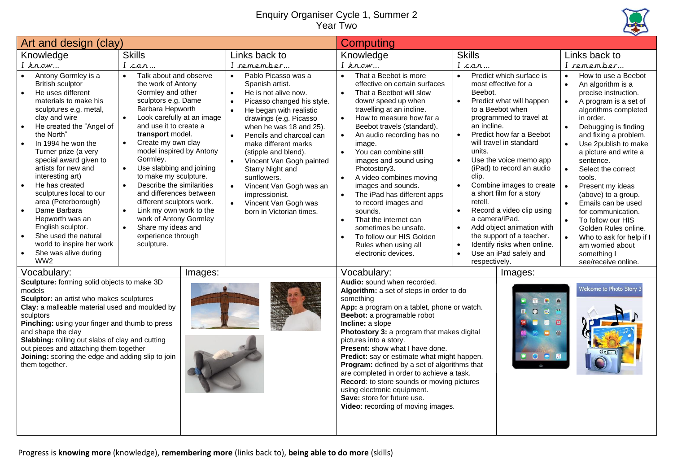## Enquiry Organiser Cycle 1, Summer 2 Year Two



| Art and design (clay)                                                                                                                                                                                                                                                                                                                                                                                                                                                                                                                                                   |                                                                                                                                                                                                                                                                                                                                                                                                                                                                                                                                                                                                            |                                                                                                                                                                                                                                                                                                                                                                                                                                                                                                                                         | <b>Computing</b>                                                                                                                                                                                                                                                                                                                                                                                                                                                                                                                                                                                                                       |                                                                                                                                                                                                                                                                                                                                                                                                                                                                                                                                                                                                                            |                                                                                                                                                                                                                                                                                                                                                                                                                                                                                                                                                                          |
|-------------------------------------------------------------------------------------------------------------------------------------------------------------------------------------------------------------------------------------------------------------------------------------------------------------------------------------------------------------------------------------------------------------------------------------------------------------------------------------------------------------------------------------------------------------------------|------------------------------------------------------------------------------------------------------------------------------------------------------------------------------------------------------------------------------------------------------------------------------------------------------------------------------------------------------------------------------------------------------------------------------------------------------------------------------------------------------------------------------------------------------------------------------------------------------------|-----------------------------------------------------------------------------------------------------------------------------------------------------------------------------------------------------------------------------------------------------------------------------------------------------------------------------------------------------------------------------------------------------------------------------------------------------------------------------------------------------------------------------------------|----------------------------------------------------------------------------------------------------------------------------------------------------------------------------------------------------------------------------------------------------------------------------------------------------------------------------------------------------------------------------------------------------------------------------------------------------------------------------------------------------------------------------------------------------------------------------------------------------------------------------------------|----------------------------------------------------------------------------------------------------------------------------------------------------------------------------------------------------------------------------------------------------------------------------------------------------------------------------------------------------------------------------------------------------------------------------------------------------------------------------------------------------------------------------------------------------------------------------------------------------------------------------|--------------------------------------------------------------------------------------------------------------------------------------------------------------------------------------------------------------------------------------------------------------------------------------------------------------------------------------------------------------------------------------------------------------------------------------------------------------------------------------------------------------------------------------------------------------------------|
| Knowledge                                                                                                                                                                                                                                                                                                                                                                                                                                                                                                                                                               | <b>Skills</b>                                                                                                                                                                                                                                                                                                                                                                                                                                                                                                                                                                                              | Links back to                                                                                                                                                                                                                                                                                                                                                                                                                                                                                                                           | Knowledge                                                                                                                                                                                                                                                                                                                                                                                                                                                                                                                                                                                                                              | <b>Skills</b>                                                                                                                                                                                                                                                                                                                                                                                                                                                                                                                                                                                                              | Links back to                                                                                                                                                                                                                                                                                                                                                                                                                                                                                                                                                            |
| $I$ know                                                                                                                                                                                                                                                                                                                                                                                                                                                                                                                                                                | I can                                                                                                                                                                                                                                                                                                                                                                                                                                                                                                                                                                                                      | I remember                                                                                                                                                                                                                                                                                                                                                                                                                                                                                                                              | $I$ know                                                                                                                                                                                                                                                                                                                                                                                                                                                                                                                                                                                                                               | I can                                                                                                                                                                                                                                                                                                                                                                                                                                                                                                                                                                                                                      | I remember                                                                                                                                                                                                                                                                                                                                                                                                                                                                                                                                                               |
| Antony Gormley is a<br><b>British sculptor</b><br>He uses different<br>materials to make his<br>sculptures e.g. metal,<br>clay and wire<br>He created the "Angel of<br>$\bullet$<br>the North"<br>In 1994 he won the<br>$\bullet$<br>Turner prize (a very<br>special award given to<br>artists for new and<br>interesting art)<br>He has created<br>sculptures local to our<br>area (Peterborough)<br>Dame Barbara<br>$\bullet$<br>Hepworth was an<br>English sculptor.<br>She used the natural<br>world to inspire her work<br>She was alive during<br>WW <sub>2</sub> | Talk about and observe<br>$\bullet$<br>the work of Antony<br>Gormley and other<br>sculptors e.g. Dame<br>Barbara Hepworth<br>$\bullet$<br>Look carefully at an image<br>and use it to create a<br>transport model.<br>Create my own clay<br>$\bullet$<br>model inspired by Antony<br>Gormley.<br>Use slabbing and joining<br>$\bullet$<br>to make my sculpture.<br>Describe the similarities<br>$\bullet$<br>and differences between<br>different sculptors work.<br>Link my own work to the<br>$\bullet$<br>work of Antony Gormley<br>Share my ideas and<br>$\bullet$<br>experience through<br>sculpture. | Pablo Picasso was a<br>$\bullet$<br>Spanish artist.<br>He is not alive now.<br>$\bullet$<br>Picasso changed his style.<br>$\bullet$<br>He began with realistic<br>$\bullet$<br>drawings (e.g. Picasso<br>when he was 18 and 25).<br>$\bullet$<br>Pencils and charcoal can<br>make different marks<br>(stipple and blend).<br>$\bullet$<br>Vincent Van Gogh painted<br><b>Starry Night and</b><br>sunflowers.<br>Vincent Van Gogh was an<br>$\bullet$<br>impressionist.<br>$\bullet$<br>Vincent Van Gogh was<br>born in Victorian times. | That a Beebot is more<br>effective on certain surfaces<br>$\bullet$<br>That a Beetbot will slow<br>down/speed up when<br>travelling at an incline.<br>How to measure how far a<br>Beebot travels (standard).<br>An audio recording has no<br>image.<br>You can combine still<br>$\bullet$<br>images and sound using<br>Photostory3.<br>A video combines moving<br>$\bullet$<br>images and sounds.<br>$\bullet$<br>The iPad has different apps<br>to record images and<br>sounds.<br>That the internet can<br>$\bullet$<br>sometimes be unsafe.<br>To follow our HIS Golden<br>$\bullet$<br>Rules when using all<br>electronic devices. | Predict which surface is<br>$\bullet$<br>most effective for a<br>Beebot.<br>Predict what will happen<br>$\bullet$<br>to a Beebot when<br>programmed to travel at<br>an incline.<br>Predict how far a Beebot<br>$\bullet$<br>will travel in standard<br>units.<br>Use the voice memo app<br>$\bullet$<br>(iPad) to record an audio<br>clip.<br>Combine images to create<br>$\bullet$<br>a short film for a story<br>retell.<br>Record a video clip using<br>a camera/iPad.<br>Add object animation with<br>the support of a teacher.<br>Identify risks when online.<br>$\bullet$<br>Use an iPad safely and<br>respectively. | How to use a Beebot<br>$\bullet$<br>An algorithm is a<br>$\bullet$<br>precise instruction.<br>A program is a set of<br>algorithms completed<br>in order.<br>Debugging is finding<br>$\bullet$<br>and fixing a problem.<br>Use 2publish to make<br>a picture and write a<br>sentence.<br>Select the correct<br>$\bullet$<br>tools.<br>Present my ideas<br>(above) to a group.<br>Emails can be used<br>for communication.<br>To follow our HIS<br>$\bullet$<br>Golden Rules online.<br>Who to ask for help if I<br>am worried about<br>something I<br>see/receive online. |
| Vocabulary:                                                                                                                                                                                                                                                                                                                                                                                                                                                                                                                                                             | Images:                                                                                                                                                                                                                                                                                                                                                                                                                                                                                                                                                                                                    |                                                                                                                                                                                                                                                                                                                                                                                                                                                                                                                                         | Vocabulary:                                                                                                                                                                                                                                                                                                                                                                                                                                                                                                                                                                                                                            | Images:                                                                                                                                                                                                                                                                                                                                                                                                                                                                                                                                                                                                                    |                                                                                                                                                                                                                                                                                                                                                                                                                                                                                                                                                                          |
| Sculpture: forming solid objects to make 3D<br>models<br>Sculptor: an artist who makes sculptures<br>Clay: a malleable material used and moulded by<br>sculptors<br>Pinching: using your finger and thumb to press<br>and shape the clay<br>Slabbing: rolling out slabs of clay and cutting<br>out pieces and attaching them together<br>Joining: scoring the edge and adding slip to join<br>them together.                                                                                                                                                            |                                                                                                                                                                                                                                                                                                                                                                                                                                                                                                                                                                                                            |                                                                                                                                                                                                                                                                                                                                                                                                                                                                                                                                         | Audio: sound when recorded.<br>Algorithm: a set of steps in order to do<br>something<br>App: a program on a tablet, phone or watch.<br>Beebot: a programable robot<br>Incline: a slope<br>Photostory 3: a program that makes digital<br>pictures into a story.<br>Present: show what I have done.<br>Predict: say or estimate what might happen.<br>Program: defined by a set of algorithms that<br>are completed in order to achieve a task.<br>Record: to store sounds or moving pictures<br>using electronic equipment.<br>Save: store for future use.<br>Video: recording of moving images.                                        | 8 回<br>$\Box$<br>$\overline{\mathbf{m}}$<br>$\bullet$<br>$\Box$<br>$\blacksquare$<br>$\blacksquare$<br>$•$<br>.                                                                                                                                                                                                                                                                                                                                                                                                                                                                                                            | Welcome to Photo Story 3                                                                                                                                                                                                                                                                                                                                                                                                                                                                                                                                                 |